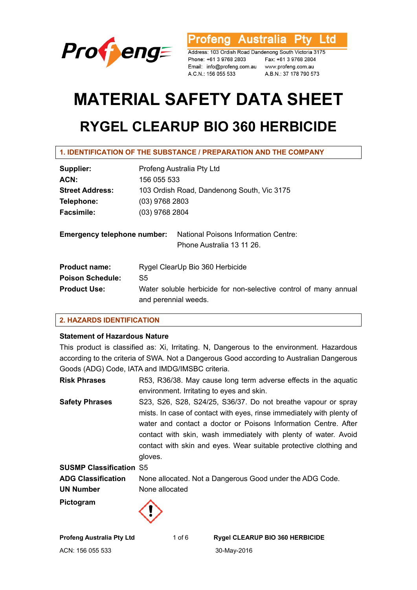

**Australia** L td ofena

Address: 103 Ordish Road Dandenong South Victoria 3175 Phone: +61 3 9768 2803 Email: info@profeng.com.au www.profeng.com.au A.C.N.: 156 055 533

Fax: +61 3 9768 2804 A.B.N.: 37 178 790 573

# **MATERIAL SAFETY DATA SHEET RYGEL CLEARUP BIO 360 HERBICIDE**

| 1. IDENTIFICATION OF THE SUBSTANCE / PREPARATION AND THE COMPANY |
|------------------------------------------------------------------|
|------------------------------------------------------------------|

| Supplier:                          | Profeng Australia Pty Ltd                                                                |  |  |
|------------------------------------|------------------------------------------------------------------------------------------|--|--|
| ACN:                               | 156 055 533                                                                              |  |  |
| <b>Street Address:</b>             | 103 Ordish Road, Dandenong South, Vic 3175                                               |  |  |
| Telephone:                         | $(03)$ 9768 2803                                                                         |  |  |
| <b>Facsimile:</b>                  | (03) 9768 2804                                                                           |  |  |
| <b>Emergency telephone number:</b> | National Poisons Information Centre:<br>Phone Australia 13 11 26.                        |  |  |
| <b>Product name:</b>               | Rygel ClearUp Bio 360 Herbicide                                                          |  |  |
| <b>Poison Schedule:</b>            | S5                                                                                       |  |  |
| <b>Product Use:</b>                | Water soluble herbicide for non-selective control of many annual<br>and perennial weeds. |  |  |

# **2. HAZARDS IDENTIFICATION**

# **Statement of Hazardous Nature**

This product is classified as: Xi, Irritating. N, Dangerous to the environment. Hazardous according to the criteria of SWA. Not a Dangerous Good according to Australian Dangerous Goods (ADG) Code, IATA and IMDG/IMSBC criteria.

**Risk Phrases** R53, R36/38. May cause long term adverse effects in the aquatic environment. Irritating to eyes and skin. **Safety Phrases** S23, S26, S28, S24/25, S36/37. Do not breathe vapour or spray mists. In case of contact with eyes, rinse immediately with plenty of water and contact a doctor or Poisons Information Centre. After contact with skin, wash immediately with plenty of water. Avoid contact with skin and eyes. Wear suitable protective clothing and gloves. **SUSMP Classification** S5 **ADG Classification** None allocated. Not a Dangerous Good under the ADG Code. **UN Number** None allocated **Pictogram** 

**Profeng Australia Pty Ltd** 1 of 6 **Rygel CLEARUP BIO 360 HERBICIDE**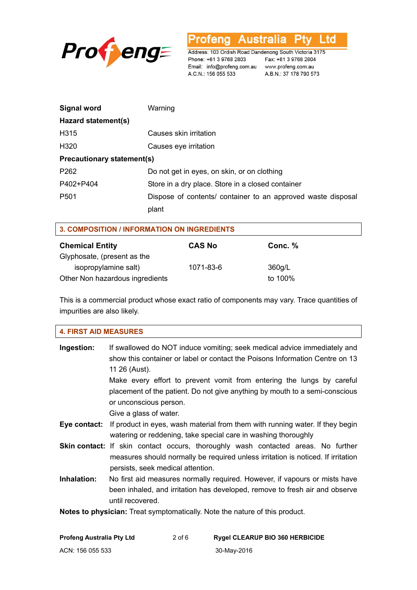

**Profeng Australia Pty Ltd** 

Address: 103 Ordish Road Dandenong South Victoria 3175 Phone: +61 3 9768 2803 Email: info@profeng.com.au www.profeng.com.au A.C.N.: 156 055 533

Fax: +61 3 9768 2804 A.B.N.: 37 178 790 573

| <b>Signal word</b>                | Warning                                                      |  |
|-----------------------------------|--------------------------------------------------------------|--|
| Hazard statement(s)               |                                                              |  |
| H315                              | Causes skin irritation                                       |  |
| H320                              | Causes eye irritation                                        |  |
| <b>Precautionary statement(s)</b> |                                                              |  |
| P <sub>262</sub>                  | Do not get in eyes, on skin, or on clothing                  |  |
| P402+P404                         | Store in a dry place. Store in a closed container            |  |
| P <sub>501</sub>                  | Dispose of contents/ container to an approved waste disposal |  |
|                                   | plant                                                        |  |

| <b>3. COMPOSITION / INFORMATION ON INGREDIENTS</b> |               |         |  |  |
|----------------------------------------------------|---------------|---------|--|--|
| <b>Chemical Entity</b>                             | <b>CAS No</b> | Conc. % |  |  |
| Glyphosate, (present as the                        |               |         |  |  |
| isopropylamine salt)                               | 1071-83-6     | 360g/L  |  |  |
| Other Non hazardous ingredients                    |               | to 100% |  |  |

This is a commercial product whose exact ratio of components may vary. Trace quantities of impurities are also likely.

| <b>4. FIRST AID MEASURES</b>                                                       |                                                                                                                                                                                                                   |  |  |
|------------------------------------------------------------------------------------|-------------------------------------------------------------------------------------------------------------------------------------------------------------------------------------------------------------------|--|--|
| Ingestion:                                                                         | If swallowed do NOT induce vomiting; seek medical advice immediately and<br>show this container or label or contact the Poisons Information Centre on 13<br>11 26 (Aust).                                         |  |  |
|                                                                                    | Make every effort to prevent vomit from entering the lungs by careful<br>placement of the patient. Do not give anything by mouth to a semi-conscious<br>or unconscious person.<br>Give a glass of water.          |  |  |
| Eye contact:                                                                       | If product in eyes, wash material from them with running water. If they begin<br>watering or reddening, take special care in washing thoroughly                                                                   |  |  |
|                                                                                    | <b>Skin contact:</b> If skin contact occurs, thoroughly wash contacted areas. No further<br>measures should normally be required unless irritation is noticed. If irritation<br>persists, seek medical attention. |  |  |
| Inhalation:                                                                        | No first aid measures normally required. However, if vapours or mists have<br>been inhaled, and irritation has developed, remove to fresh air and observe<br>until recovered.                                     |  |  |
| <b>Notes to physician:</b> Treat symptomatically. Note the nature of this product. |                                                                                                                                                                                                                   |  |  |

| <b>Profeng Australia Pty Ltd</b> | $2$ of 6 | <b>Rygel CLEARUP BIO 360 HERBICIDE</b> |
|----------------------------------|----------|----------------------------------------|
| ACN: 156 055 533                 |          | 30-Mav-2016                            |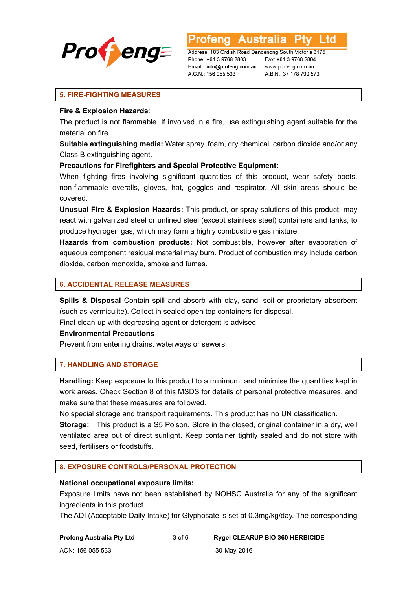

Ltd **Australia** 

Address: 103 Ordish Road Dandenong South Victoria 3175 Phone: +61 3 9768 2803 Email: info@profeng.com.au A.C.N.: 156 055 533

Fax: +61 3 9768 2804 www.profeng.com.au A.B.N.: 37 178 790 573

## **5. FIRE-FIGHTING MEASURES**

#### **Fire & Explosion Hazards**:

The product is not flammable. If involved in a fire, use extinguishing agent suitable for the material on fire.

**Suitable extinguishing media:** Water spray, foam, dry chemical, carbon dioxide and/or any Class B extinguishing agent.

## **Precautions for Firefighters and Special Protective Equipment:**

When fighting fires involving significant quantities of this product, wear safety boots, non-flammable overalls, gloves, hat, goggles and respirator. All skin areas should be covered.

**Unusual Fire & Explosion Hazards:** This product, or spray solutions of this product, may react with galvanized steel or unlined steel (except stainless steel) containers and tanks, to produce hydrogen gas, which may form a highly combustible gas mixture.

**Hazards from combustion products:** Not combustible, however after evaporation of aqueous component residual material may burn. Product of combustion may include carbon dioxide, carbon monoxide, smoke and fumes.

## **6. ACCIDENTAL RELEASE MEASURES**

**Spills & Disposal** Contain spill and absorb with clay, sand, soil or proprietary absorbent (such as vermiculite). Collect in sealed open top containers for disposal.

Final clean-up with degreasing agent or detergent is advised.

#### **Environmental Precautions**

Prevent from entering drains, waterways or sewers.

## **7. HANDLING AND STORAGE**

**Handling:** Keep exposure to this product to a minimum, and minimise the quantities kept in work areas. Check Section 8 of this MSDS for details of personal protective measures, and make sure that these measures are followed.

No special storage and transport requirements. This product has no UN classification.

**Storage:** This product is a S5 Poison. Store in the closed, original container in a dry, well ventilated area out of direct sunlight. Keep container tightly sealed and do not store with seed, fertilisers or foodstuffs.

# **8. EXPOSURE CONTROLS/PERSONAL PROTECTION**

#### **National occupational exposure limits:**

Exposure limits have not been established by NOHSC Australia for any of the significant ingredients in this product.

The ADI (Acceptable Daily Intake) for Glyphosate is set at 0.3mg/kg/day. The corresponding

**Profeng Australia Pty Ltd** 3 of 6 **Rygel CLEARUP BIO 360 HERBICIDE** 

ACN: 156 055 533 30-May-2016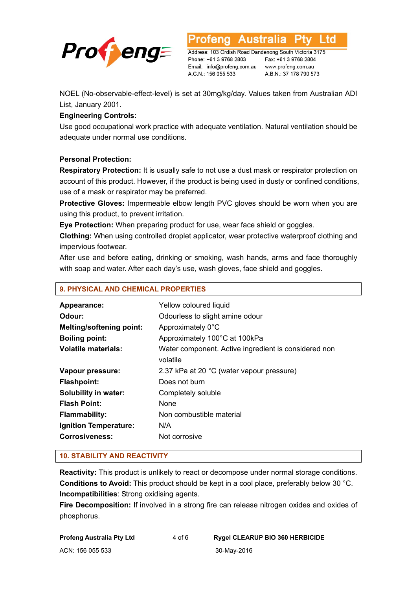

Australia L td

Address: 103 Ordish Road Dandenong South Victoria 3175 Phone: +61 3 9768 2803 Email: info@profeng.com.au www.profeng.com.au A.C.N.: 156 055 533

Fax: +61 3 9768 2804 A.B.N.: 37 178 790 573

NOEL (No-observable-effect-level) is set at 30mg/kg/day. Values taken from Australian ADI List, January 2001.

# **Engineering Controls:**

Use good occupational work practice with adequate ventilation. Natural ventilation should be adequate under normal use conditions.

# **Personal Protection:**

**Respiratory Protection:** It is usually safe to not use a dust mask or respirator protection on account of this product. However, if the product is being used in dusty or confined conditions, use of a mask or respirator may be preferred.

**Protective Gloves:** Impermeable elbow length PVC gloves should be worn when you are using this product, to prevent irritation.

**Eye Protection:** When preparing product for use, wear face shield or goggles.

**Clothing:** When using controlled droplet applicator, wear protective waterproof clothing and impervious footwear.

After use and before eating, drinking or smoking, wash hands, arms and face thoroughly with soap and water. After each day's use, wash gloves, face shield and goggles.

| 9. PHYSICAL AND CHEMICAL PROPERTIES |                                                                  |  |
|-------------------------------------|------------------------------------------------------------------|--|
| Appearance:                         | Yellow coloured liquid                                           |  |
| Odour:                              | Odourless to slight amine odour                                  |  |
| <b>Melting/softening point:</b>     | Approximately 0°C                                                |  |
| <b>Boiling point:</b>               | Approximately 100°C at 100kPa                                    |  |
| <b>Volatile materials:</b>          | Water component. Active ingredient is considered non<br>volatile |  |
| Vapour pressure:                    | 2.37 kPa at 20 °C (water vapour pressure)                        |  |
| <b>Flashpoint:</b>                  | Does not burn                                                    |  |
| <b>Solubility in water:</b>         | Completely soluble                                               |  |
| <b>Flash Point:</b>                 | None                                                             |  |
| <b>Flammability:</b>                | Non combustible material                                         |  |
| Ignition Temperature:               | N/A                                                              |  |
| <b>Corrosiveness:</b>               | Not corrosive                                                    |  |

# **10. STABILITY AND REACTIVITY**

**Reactivity:** This product is unlikely to react or decompose under normal storage conditions. **Conditions to Avoid:** This product should be kept in a cool place, preferably below 30 °C. **Incompatibilities**: Strong oxidising agents.

**Fire Decomposition:** If involved in a strong fire can release nitrogen oxides and oxides of phosphorus.

**Profeng Australia Pty Ltd** 4 of 6 **Rygel CLEARUP BIO 360 HERBICIDE** 

ACN: 156 055 533 30-May-2016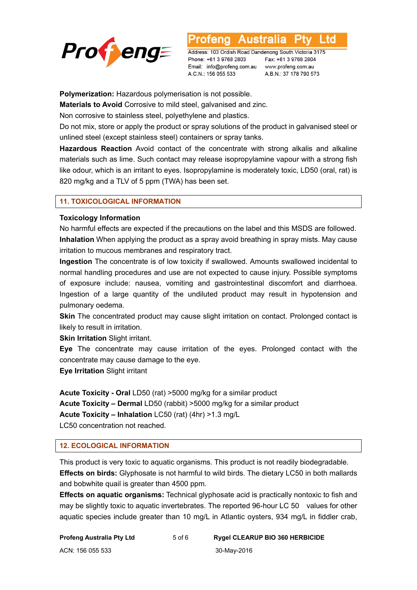

L to

Address: 103 Ordish Road Dandenong South Victoria 3175 Phone: +61 3 9768 2803 Email: info@profeng.com.au www.profeng.com.au A.C.N.: 156 055 533

Fax: +61 3 9768 2804 A.B.N.: 37 178 790 573

**Polymerization:** Hazardous polymerisation is not possible.

**Materials to Avoid** Corrosive to mild steel, galvanised and zinc.

Non corrosive to stainless steel, polyethylene and plastics.

Do not mix, store or apply the product or spray solutions of the product in galvanised steel or unlined steel (except stainless steel) containers or spray tanks.

**Hazardous Reaction** Avoid contact of the concentrate with strong alkalis and alkaline materials such as lime. Such contact may release isopropylamine vapour with a strong fish like odour, which is an irritant to eyes. Isopropylamine is moderately toxic, LD50 (oral, rat) is 820 mg/kg and a TLV of 5 ppm (TWA) has been set.

## **11. TOXICOLOGICAL INFORMATION**

#### **Toxicology Information**

No harmful effects are expected if the precautions on the label and this MSDS are followed. **Inhalation** When applying the product as a spray avoid breathing in spray mists. May cause irritation to mucous membranes and respiratory tract.

**Ingestion** The concentrate is of low toxicity if swallowed. Amounts swallowed incidental to normal handling procedures and use are not expected to cause injury. Possible symptoms of exposure include: nausea, vomiting and gastrointestinal discomfort and diarrhoea. Ingestion of a large quantity of the undiluted product may result in hypotension and pulmonary oedema.

**Skin** The concentrated product may cause slight irritation on contact. Prolonged contact is likely to result in irritation.

**Skin Irritation** Slight irritant.

**Eye** The concentrate may cause irritation of the eyes. Prolonged contact with the concentrate may cause damage to the eye.

**Eye Irritation** Slight irritant

**Acute Toxicity - Oral** LD50 (rat) >5000 mg/kg for a similar product **Acute Toxicity – Dermal** LD50 (rabbit) >5000 mg/kg for a similar product **Acute Toxicity – Inhalation** LC50 (rat) (4hr) >1.3 mg/L LC50 concentration not reached.

# **12. ECOLOGICAL INFORMATION**

This product is very toxic to aquatic organisms. This product is not readily biodegradable. **Effects on birds:** Glyphosate is not harmful to wild birds. The dietary LC50 in both mallards and bobwhite quail is greater than 4500 ppm.

**Effects on aquatic organisms:** Technical glyphosate acid is practically nontoxic to fish and may be slightly toxic to aquatic invertebrates. The reported 96-hour LC 50 values for other aquatic species include greater than 10 mg/L in Atlantic oysters, 934 mg/L in fiddler crab,